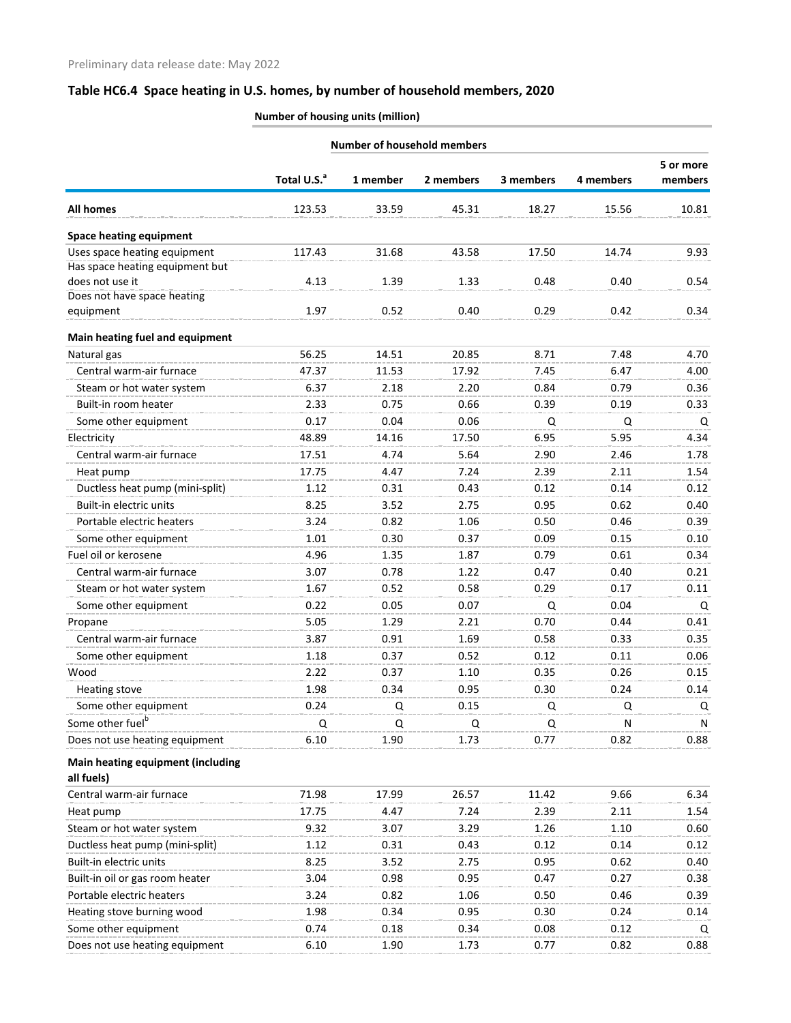| <b>Number of household members</b> |                         |          |           |           |           |         |  |  |
|------------------------------------|-------------------------|----------|-----------|-----------|-----------|---------|--|--|
|                                    |                         |          |           |           |           |         |  |  |
|                                    | Total U.S. <sup>a</sup> | 1 member | 2 members | 3 members | 4 members | members |  |  |
| <b>All homes</b>                   | 123.53                  | 33.59    | 45.31     | 18.27     | 15.56     | 10.81   |  |  |
| <b>Space heating equipment</b>     |                         |          |           |           |           |         |  |  |
| Uses space heating equipment       | 117.43                  | 31.68    | 43.58     | 17.50     | 14.74     | 9.93    |  |  |
| Has space heating equipment but    |                         |          |           |           |           |         |  |  |
| does not use it                    | 4.13                    | 1.39     | 1.33      | 0.48      | 0.40      | 0.54    |  |  |
| Does not have space heating        |                         |          |           |           |           |         |  |  |
| equipment                          | 1.97                    | 0.52     | 0.40      | 0.29      | 0.42      | 0.34    |  |  |
| Main heating fuel and equipment    |                         |          |           |           |           |         |  |  |
| Natural gas                        | 56.25                   | 14.51    | 20.85     | 8.71      | 7.48      | 4.70    |  |  |
| Central warm-air furnace           | 47.37                   | 11.53    | 17.92     | 7.45      | 6.47      | 4.00    |  |  |
| Steam or hot water system          | 6.37                    | 2.18     | 2.20      | 0.84      | 0.79      | 0.36    |  |  |
| Built-in room heater               | 2.33                    | 0.75     | 0.66      | 0.39      | 0.19      | 0.33    |  |  |
| Some other equipment               | 0.17                    | 0.04     | 0.06      | Q         | Q         | Q       |  |  |
| Electricity                        | 48.89                   | 14.16    | 17.50     | 6.95      | 5.95      | 4.34    |  |  |
| Central warm-air furnace           | 17.51                   | 4.74     | 5.64      | 2.90      | 2.46      | 1.78    |  |  |
| Heat pump                          | 17.75                   | 4.47     | 7.24      | 2.39      | 2.11      | 1.54    |  |  |
| Ductless heat pump (mini-split)    | 1.12                    | 0.31     | 0.43      | 0.12      | 0.14      | 0.12    |  |  |
| Built-in electric units            | 8.25                    | 3.52     | 2.75      | 0.95      | 0.62      | 0.40    |  |  |
| Portable electric heaters          | 3.24                    | 0.82     | 1.06      | 0.50      | 0.46      | 0.39    |  |  |
| Some other equipment               | 1.01                    | 0.30     | 0.37      | 0.09      | 0.15      | 0.10    |  |  |
| Fuel oil or kerosene               | 4.96                    | 1.35     | 1.87      | 0.79      | 0.61      | 0.34    |  |  |
| Central warm-air furnace           | 3.07                    | 0.78     | 1.22      | 0.47      | 0.40      | 0.21    |  |  |
| Steam or hot water system          | 1.67                    | 0.52     | 0.58      | 0.29      | 0.17      | 0.11    |  |  |
| Some other equipment               | 0.22                    | 0.05     | 0.07      | Q         | 0.04      | Q       |  |  |
| Propane                            | 5.05                    | 1.29     | 2.21      | 0.70      | 0.44      | 0.41    |  |  |
| Central warm-air furnace           | 3.87                    | 0.91     | 1.69      | 0.58      | 0.33      | 0.35    |  |  |
| Some other equipment               | 1.18                    | 0.37     | 0.52      | 0.12      | 0.11      | 0.06    |  |  |
| Wood                               | 2.22                    | 0.37     | 1.10      | 0.35      | 0.26      | 0.15    |  |  |
| Heating stove                      | 1.98                    | 0.34     | 0.95      | 0.30      | 0.24      | 0.14    |  |  |
| Some other equipment               | 0.24                    | Q        | 0.15      | Q         | Q         | Q       |  |  |
| Some other fuel <sup>b</sup>       | Q                       | Q        | Q         | Q         | N         | N       |  |  |
| Does not use heating equipment     | 6.10                    | 1.90     | 1.73      | 0.77      | 0.82      | 0.88    |  |  |
| Main heating equipment (including  |                         |          |           |           |           |         |  |  |
| all fuels)                         |                         |          |           |           |           |         |  |  |
| Central warm-air furnace           | 71.98                   | 17.99    | 26.57     | 11.42     | 9.66      | 6.34    |  |  |
| Heat pump                          | 17.75                   | 4.47     | 7.24      | 2.39      | 2.11      | 1.54    |  |  |
| Steam or hot water system          | 9.32                    | 3.07     | 3.29      | 1.26      | 1.10      | 0.60    |  |  |
| Ductless heat pump (mini-split)    | 1.12                    | 0.31     | 0.43      | 0.12      | 0.14      | 0.12    |  |  |
| Built-in electric units            | 8.25                    | 3.52     | 2.75      | 0.95      | 0.62      | 0.40    |  |  |
| Built-in oil or gas room heater    | 3.04                    | 0.98     | 0.95      | 0.47      | 0.27      | 0.38    |  |  |
| Portable electric heaters          | 3.24                    | 0.82     | 1.06      | 0.50      | 0.46      | 0.39    |  |  |
| Heating stove burning wood         | 1.98                    | 0.34     | 0.95      | 0.30      | 0.24      | 0.14    |  |  |
| Some other equipment               | 0.74                    | 0.18     | 0.34      | 0.08      | 0.12      | Q       |  |  |
| Does not use heating equipment     | 6.10                    | 1.90     | 1.73      | 0.77      | 0.82      | 0.88    |  |  |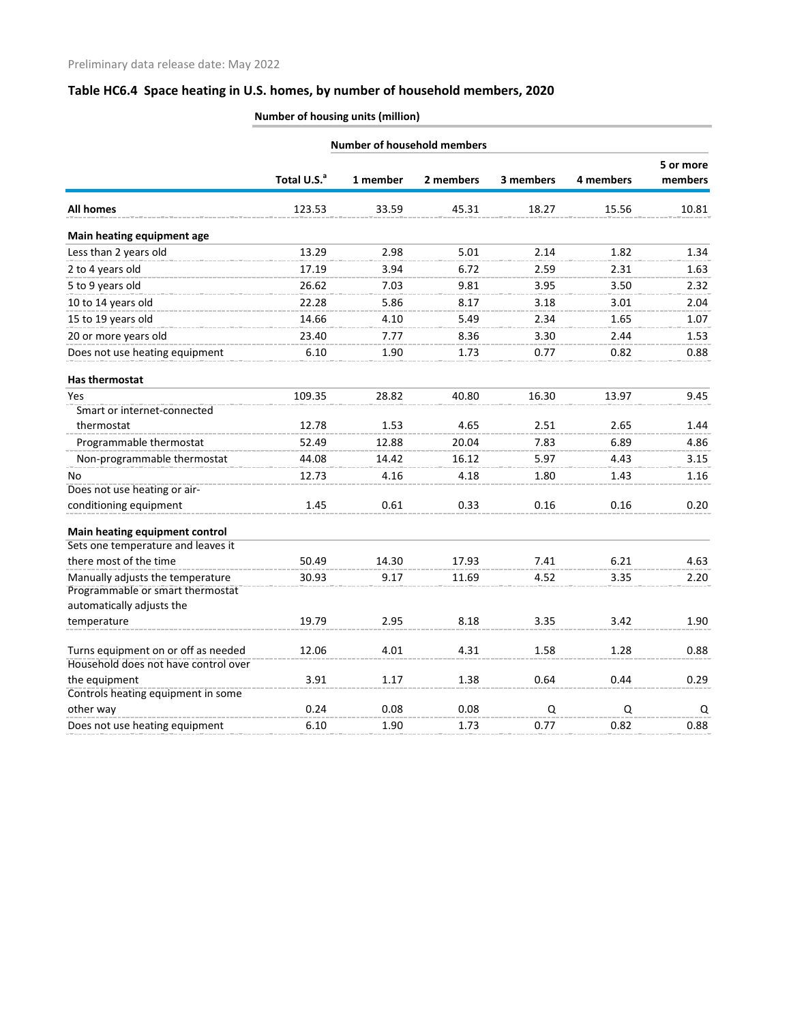|                                                                      |                         | <b>Number of household members</b> |           |           |           |                      |  |
|----------------------------------------------------------------------|-------------------------|------------------------------------|-----------|-----------|-----------|----------------------|--|
|                                                                      | Total U.S. <sup>a</sup> | 1 member                           | 2 members | 3 members | 4 members | 5 or more<br>members |  |
| <b>All homes</b>                                                     | 123.53                  | 33.59                              | 45.31     | 18.27     | 15.56     | 10.81                |  |
| Main heating equipment age                                           |                         |                                    |           |           |           |                      |  |
| Less than 2 years old                                                | 13.29                   | 2.98                               | 5.01      | 2.14      | 1.82      | 1.34                 |  |
| 2 to 4 years old                                                     | 17.19                   | 3.94                               | 6.72      | 2.59      | 2.31      | 1.63                 |  |
| 5 to 9 years old                                                     | 26.62                   | 7.03                               | 9.81      | 3.95      | 3.50      | 2.32                 |  |
| 10 to 14 years old                                                   | 22.28                   | 5.86                               | 8.17      | 3.18      | 3.01      | 2.04                 |  |
| 15 to 19 years old                                                   | 14.66                   | 4.10                               | 5.49      | 2.34      | 1.65      | 1.07                 |  |
| 20 or more years old                                                 | 23.40                   | 7.77                               | 8.36      | 3.30      | 2.44      | 1.53                 |  |
| Does not use heating equipment                                       | 6.10                    | 1.90                               | 1.73      | 0.77      | 0.82      | 0.88                 |  |
| <b>Has thermostat</b>                                                |                         |                                    |           |           |           |                      |  |
| Yes                                                                  | 109.35                  | 28.82                              | 40.80     | 16.30     | 13.97     | 9.45                 |  |
| Smart or internet-connected                                          |                         |                                    |           |           |           |                      |  |
| thermostat                                                           | 12.78                   | 1.53                               | 4.65      | 2.51      | 2.65      | 1.44                 |  |
| Programmable thermostat                                              | 52.49                   | 12.88                              | 20.04     | 7.83      | 6.89      | 4.86                 |  |
| Non-programmable thermostat                                          | 44.08                   | 14.42                              | 16.12     | 5.97      | 4.43      | 3.15                 |  |
| No                                                                   | 12.73                   | 4.16                               | 4.18      | 1.80      | 1.43      | 1.16                 |  |
| Does not use heating or air-                                         |                         |                                    |           |           |           |                      |  |
| conditioning equipment                                               | 1.45                    | 0.61                               | 0.33      | 0.16      | 0.16      | 0.20                 |  |
| Main heating equipment control                                       |                         |                                    |           |           |           |                      |  |
| Sets one temperature and leaves it                                   |                         |                                    |           |           |           |                      |  |
| there most of the time                                               | 50.49                   | 14.30                              | 17.93     | 7.41      | 6.21      | 4.63                 |  |
| Manually adjusts the temperature<br>Programmable or smart thermostat | 30.93                   | 9.17                               | 11.69     | 4.52      | 3.35      | 2.20                 |  |
| automatically adjusts the                                            |                         |                                    |           |           |           |                      |  |
| temperature                                                          | 19.79                   | 2.95                               | 8.18      | 3.35      | 3.42      | 1.90                 |  |
| Turns equipment on or off as needed                                  | 12.06                   | 4.01                               | 4.31      | 1.58      | 1.28      | 0.88                 |  |
| Household does not have control over                                 |                         |                                    |           |           |           |                      |  |
| the equipment                                                        | 3.91                    | 1.17                               | 1.38      | 0.64      | 0.44      | 0.29                 |  |
| Controls heating equipment in some                                   |                         |                                    |           |           |           |                      |  |
| other way                                                            | 0.24                    | 0.08                               | 0.08      | Q         | Q         | Q                    |  |
| Does not use heating equipment                                       | 6.10                    | 1.90                               | 1.73      | 0.77      | 0.82      | 0.88                 |  |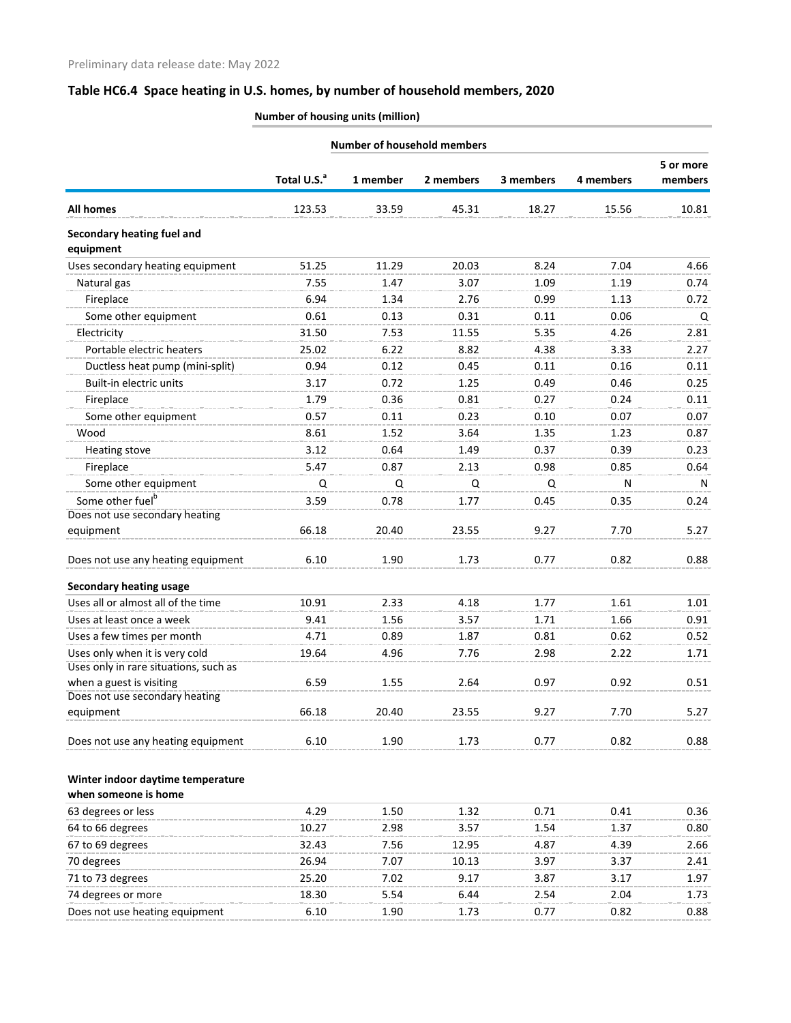| <b>Number of household members</b>          |                         |          |           |           |           |                      |
|---------------------------------------------|-------------------------|----------|-----------|-----------|-----------|----------------------|
|                                             | Total U.S. <sup>a</sup> | 1 member | 2 members | 3 members | 4 members | 5 or more<br>members |
| <b>All homes</b>                            | 123.53                  | 33.59    | 45.31     | 18.27     | 15.56     | 10.81                |
| Secondary heating fuel and<br>equipment     |                         |          |           |           |           |                      |
| Uses secondary heating equipment            | 51.25                   | 11.29    | 20.03     | 8.24      | 7.04      | 4.66                 |
| Natural gas                                 | 7.55                    | 1.47     | 3.07      | 1.09      | 1.19      | 0.74                 |
| Fireplace                                   | 6.94                    | 1.34     | 2.76      | 0.99      | 1.13      | 0.72                 |
| Some other equipment                        | 0.61                    | 0.13     | 0.31      | 0.11      | 0.06      | Q                    |
| Electricity                                 | 31.50                   | 7.53     | 11.55     | 5.35      | 4.26      | 2.81                 |
| Portable electric heaters                   | 25.02                   | 6.22     | 8.82      | 4.38      | 3.33      | 2.27                 |
| Ductless heat pump (mini-split)             | 0.94                    | 0.12     | 0.45      | 0.11      | 0.16      | 0.11                 |
| Built-in electric units                     | 3.17                    | 0.72     | 1.25      | 0.49      | 0.46      | 0.25                 |
| Fireplace                                   | 1.79                    | 0.36     | 0.81      | 0.27      | 0.24      | 0.11                 |
| Some other equipment                        | 0.57                    | 0.11     | 0.23      | 0.10      | 0.07      | 0.07                 |
| Wood                                        | 8.61                    | 1.52     | 3.64      | 1.35      | 1.23      | 0.87                 |
| Heating stove                               | 3.12                    | 0.64     | 1.49      | 0.37      | 0.39      | 0.23                 |
| Fireplace                                   | 5.47                    | 0.87     | 2.13      | 0.98      | 0.85      | 0.64                 |
| Some other equipment                        | Q                       | Q        | Q         | Q         | N         | N                    |
| Some other fuel <sup>b</sup>                | 3.59                    | 0.78     | 1.77      | 0.45      | 0.35      | 0.24                 |
| Does not use secondary heating              |                         |          |           |           |           |                      |
| equipment                                   | 66.18                   | 20.40    | 23.55     | 9.27      | 7.70      | 5.27                 |
| Does not use any heating equipment          | 6.10                    | 1.90     | 1.73      | 0.77      | 0.82      | 0.88                 |
| <b>Secondary heating usage</b>              |                         |          |           |           |           |                      |
| Uses all or almost all of the time          | 10.91                   | 2.33     | 4.18      | 1.77      | 1.61      | 1.01                 |
| Uses at least once a week                   | 9.41                    | 1.56     | 3.57      | 1.71      | 1.66      | 0.91                 |
| Uses a few times per month                  | 4.71                    | 0.89     | 1.87      | 0.81      | 0.62      | 0.52                 |
| Uses only when it is very cold              | 19.64                   | 4.96     | 7.76      | 2.98      | 2.22      | 1.71                 |
| Uses only in rare situations, such as       |                         |          |           |           |           |                      |
| when a guest is visiting                    | 6.59                    | 1.55     | 2.64      | 0.97      | 0.92      | 0.51                 |
| Does not use secondary heating<br>equipment | 66.18                   | 20.40    | 23.55     | 9.27      | 7.70      | 5.27                 |
|                                             |                         |          |           |           |           |                      |
| Does not use any heating equipment          | 6.10                    | 1.90     | 1.73      | 0.77      | 0.82      | 0.88                 |
| Winter indoor daytime temperature           |                         |          |           |           |           |                      |
| when someone is home                        |                         |          |           |           |           |                      |
| 63 degrees or less                          | 4.29                    | 1.50     | 1.32      | 0.71      | 0.41      | 0.36                 |
| 64 to 66 degrees                            | 10.27                   | 2.98     | 3.57      | 1.54      | 1.37      | 0.80                 |
| 67 to 69 degrees                            | 32.43                   | 7.56     | 12.95     | 4.87      | 4.39      | 2.66                 |
| 70 degrees                                  | 26.94                   | 7.07     | 10.13     | 3.97      | 3.37      | 2.41                 |
| 71 to 73 degrees                            | 25.20                   | 7.02     | 9.17      | 3.87      | 3.17      | 1.97                 |
| 74 degrees or more                          | 18.30                   | 5.54     | 6.44      | 2.54      | 2.04      | 1.73                 |
| Does not use heating equipment              | 6.10                    | 1.90     | 1.73      | 0.77      | 0.82      | 0.88                 |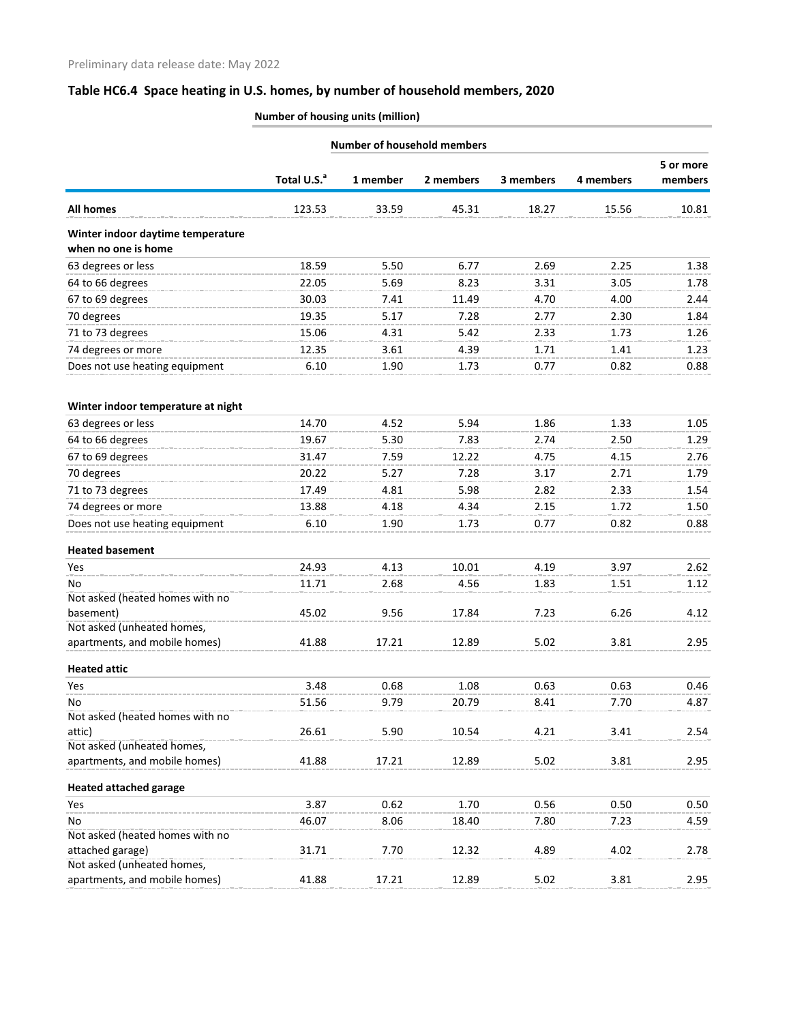|                                                          | <b>Number of household members</b> |          |           |           |           |                      |  |
|----------------------------------------------------------|------------------------------------|----------|-----------|-----------|-----------|----------------------|--|
|                                                          | Total U.S. <sup>a</sup>            | 1 member | 2 members | 3 members | 4 members | 5 or more<br>members |  |
| <b>All homes</b>                                         | 123.53                             | 33.59    | 45.31     | 18.27     | 15.56     | 10.81                |  |
| Winter indoor daytime temperature<br>when no one is home |                                    |          |           |           |           |                      |  |
| 63 degrees or less                                       | 18.59                              | 5.50     | 6.77      | 2.69      | 2.25      | 1.38                 |  |
| 64 to 66 degrees                                         | 22.05                              | 5.69     | 8.23      | 3.31      | 3.05      | 1.78                 |  |
| 67 to 69 degrees                                         | 30.03                              | 7.41     | 11.49     | 4.70      | 4.00      | 2.44                 |  |
| 70 degrees                                               | 19.35                              | 5.17     | 7.28      | 2.77      | 2.30      | 1.84                 |  |
| 71 to 73 degrees                                         | 15.06                              | 4.31     | 5.42      | 2.33      | 1.73      | 1.26                 |  |
| 74 degrees or more                                       | 12.35                              | 3.61     | 4.39      | 1.71      | 1.41      | 1.23                 |  |
| Does not use heating equipment                           | 6.10                               | 1.90     | 1.73      | 0.77      | 0.82      | 0.88                 |  |
| Winter indoor temperature at night                       |                                    |          |           |           |           |                      |  |
| 63 degrees or less                                       | 14.70                              | 4.52     | 5.94      | 1.86      | 1.33      | 1.05                 |  |
| 64 to 66 degrees                                         | 19.67                              | 5.30     | 7.83      | 2.74      | 2.50      | 1.29                 |  |
| 67 to 69 degrees                                         | 31.47                              | 7.59     | 12.22     | 4.75      | 4.15      | 2.76                 |  |
| 70 degrees                                               | 20.22                              | 5.27     | 7.28      | 3.17      | 2.71      | 1.79                 |  |
| 71 to 73 degrees                                         | 17.49                              | 4.81     | 5.98      | 2.82      | 2.33      | 1.54                 |  |
| 74 degrees or more                                       | 13.88                              | 4.18     | 4.34      | 2.15      | 1.72      | 1.50                 |  |
| Does not use heating equipment                           | 6.10                               | 1.90     | 1.73      | 0.77      | 0.82      | 0.88                 |  |
| <b>Heated basement</b>                                   |                                    |          |           |           |           |                      |  |
| Yes                                                      | 24.93                              | 4.13     | 10.01     | 4.19      | 3.97      | 2.62                 |  |
| No                                                       | 11.71                              | 2.68     | 4.56      | 1.83      | 1.51      | 1.12                 |  |
| Not asked (heated homes with no                          |                                    |          |           |           |           |                      |  |
| basement)                                                | 45.02                              | 9.56     | 17.84     | 7.23      | 6.26      | 4.12                 |  |
| Not asked (unheated homes,                               |                                    |          |           | 5.02      |           |                      |  |
| apartments, and mobile homes)                            | 41.88                              | 17.21    | 12.89     |           | 3.81      | 2.95                 |  |
| <b>Heated attic</b>                                      |                                    |          |           |           |           |                      |  |
| Yes                                                      | 3.48                               | 0.68     | 1.08      | 0.63      | 0.63      | 0.46                 |  |
| No<br>Not asked (heated homes with no                    | 51.56                              | 9.79     | 20.79     | 8.41      | 7.70      | 4.87                 |  |
| attic)                                                   | 26.61                              | 5.90     | 10.54     | 4.21      | 3.41      | 2.54                 |  |
| Not asked (unheated homes,                               |                                    |          |           |           |           |                      |  |
| apartments, and mobile homes)                            | 41.88                              | 17.21    | 12.89     | 5.02      | 3.81      | 2.95                 |  |
| <b>Heated attached garage</b>                            |                                    |          |           |           |           |                      |  |
| Yes                                                      | 3.87                               | 0.62     | 1.70      | 0.56      | 0.50      | 0.50                 |  |
| No                                                       | 46.07                              | 8.06     | 18.40     | 7.80      | 7.23      | 4.59                 |  |
| Not asked (heated homes with no                          |                                    |          |           |           |           |                      |  |
| attached garage)<br>Not asked (unheated homes,           | 31.71                              | 7.70     | 12.32     | 4.89      | 4.02      | 2.78                 |  |
| apartments, and mobile homes)                            | 41.88                              | 17.21    | 12.89     | 5.02      | 3.81      | 2.95                 |  |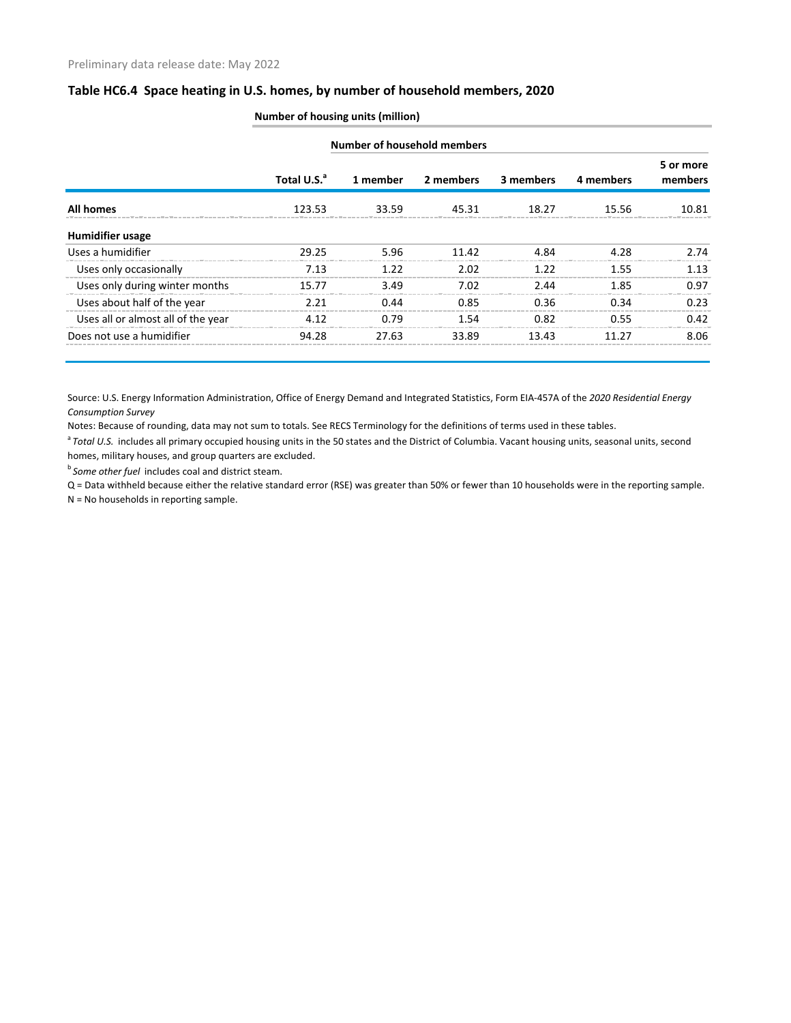|                                    | Number of household members |          |           |           |           |                      |  |  |  |
|------------------------------------|-----------------------------|----------|-----------|-----------|-----------|----------------------|--|--|--|
|                                    | Total U.S. <sup>a</sup>     | 1 member | 2 members | 3 members | 4 members | 5 or more<br>members |  |  |  |
| <b>All homes</b>                   | 123.53                      | 33.59    | 45.31     | 18.27     | 15.56     | 10.81                |  |  |  |
| <b>Humidifier usage</b>            |                             |          |           |           |           |                      |  |  |  |
| Uses a humidifier                  | 29.25                       | 5.96     | 11.42     | 4.84      | 4.28      | 2.74                 |  |  |  |
| Uses only occasionally             | 7.13                        | 1.22     | 2.02      | 1.22      | 1.55      | 1.13                 |  |  |  |
| Uses only during winter months     | 15.77                       | 3.49     | 7.02      | 2.44      | 1.85      | 0.97                 |  |  |  |
| Uses about half of the year        | 2.21                        | 0.44     | 0.85      | 0.36      | 0.34      | 0.23                 |  |  |  |
| Uses all or almost all of the year | 4.12                        | 0.79     | 1.54      | 0.82      | 0.55      | 0.42                 |  |  |  |
| Does not use a humidifier          | 94.28                       | 27.63    | 33.89     | 13.43     | 11 27     | 8.06                 |  |  |  |

#### **Number of housing units (million)**

Source: U.S. Energy Information Administration, Office of Energy Demand and Integrated Statistics, Form EIA-457A of the *2020 Residential Energy Consumption Survey*

Notes: Because of rounding, data may not sum to totals. See RECS Terminology for the definitions of terms used in these tables.

<sup>a</sup> Total U.S. includes all primary occupied housing units in the 50 states and the District of Columbia. Vacant housing units, seasonal units, second homes, military houses, and group quarters are excluded.

**b** Some other fuel includes coal and district steam.

Q = Data withheld because either the relative standard error (RSE) was greater than 50% or fewer than 10 households were in the reporting sample.

N = No households in reporting sample.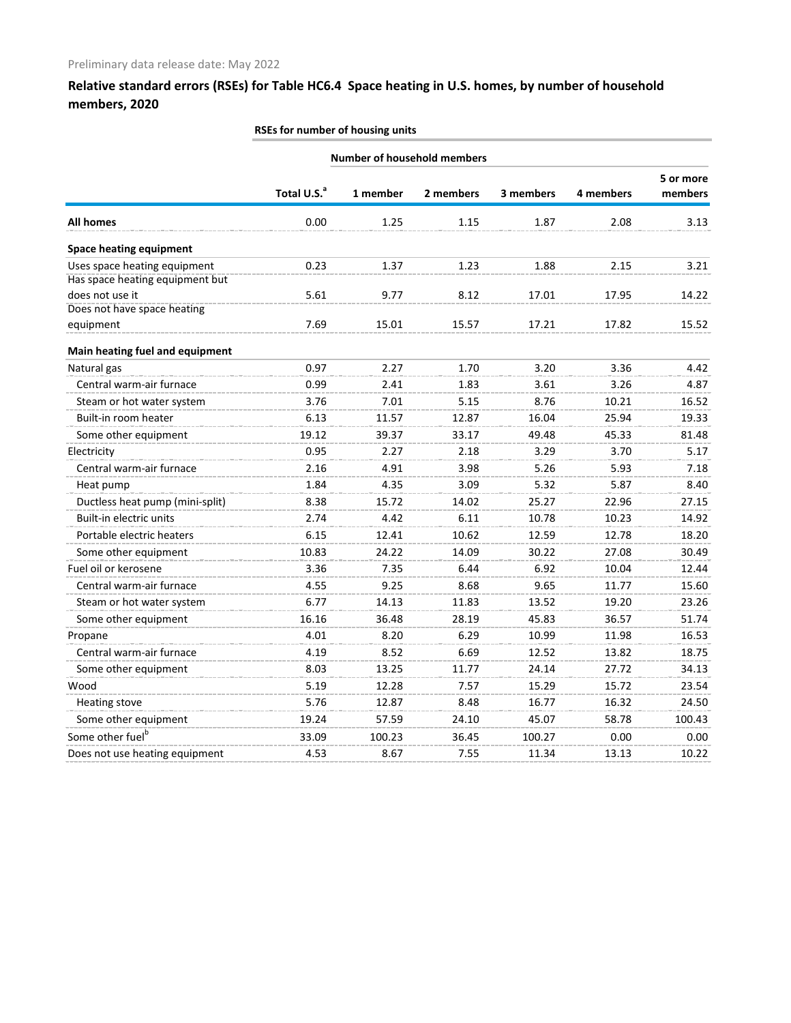#### **RSEs for number of housing units**

|                                 |                         | <b>Number of household members</b> |           |           |           |                      |
|---------------------------------|-------------------------|------------------------------------|-----------|-----------|-----------|----------------------|
|                                 | Total U.S. <sup>a</sup> | 1 member                           | 2 members | 3 members | 4 members | 5 or more<br>members |
| <b>All homes</b>                | 0.00                    | 1.25                               | 1.15      | 1.87      | 2.08      | 3.13                 |
| <b>Space heating equipment</b>  |                         |                                    |           |           |           |                      |
| Uses space heating equipment    | 0.23                    | 1.37                               | 1.23      | 1.88      | 2.15      | 3.21                 |
| Has space heating equipment but |                         |                                    |           |           |           |                      |
| does not use it                 | 5.61                    | 9.77                               | 8.12      | 17.01     | 17.95     | 14.22                |
| Does not have space heating     |                         |                                    |           |           |           |                      |
| equipment                       | 7.69                    | 15.01                              | 15.57     | 17.21     | 17.82     | 15.52                |
| Main heating fuel and equipment |                         |                                    |           |           |           |                      |
| Natural gas                     | 0.97                    | 2.27                               | 1.70      | 3.20      | 3.36      | 4.42                 |
| Central warm-air furnace        | 0.99                    | 2.41                               | 1.83      | 3.61      | 3.26      | 4.87                 |
| Steam or hot water system       | 3.76                    | 7.01                               | 5.15      | 8.76      | 10.21     | 16.52                |
| Built-in room heater            | 6.13                    | 11.57                              | 12.87     | 16.04     | 25.94     | 19.33                |
| Some other equipment            | 19.12                   | 39.37                              | 33.17     | 49.48     | 45.33     | 81.48                |
| Electricity                     | 0.95                    | 2.27                               | 2.18      | 3.29      | 3.70      | 5.17                 |
| Central warm-air furnace        | 2.16                    | 4.91                               | 3.98      | 5.26      | 5.93      | 7.18                 |
| Heat pump                       | 1.84                    | 4.35                               | 3.09      | 5.32      | 5.87      | 8.40                 |
| Ductless heat pump (mini-split) | 8.38                    | 15.72                              | 14.02     | 25.27     | 22.96     | 27.15                |
| Built-in electric units         | 2.74                    | 4.42                               | 6.11      | 10.78     | 10.23     | 14.92                |
| Portable electric heaters       | 6.15                    | 12.41                              | 10.62     | 12.59     | 12.78     | 18.20                |
| Some other equipment            | 10.83                   | 24.22                              | 14.09     | 30.22     | 27.08     | 30.49                |
| Fuel oil or kerosene            | 3.36                    | 7.35                               | 6.44      | 6.92      | 10.04     | 12.44                |
| Central warm-air furnace        | 4.55                    | 9.25                               | 8.68      | 9.65      | 11.77     | 15.60                |
| Steam or hot water system       | 6.77                    | 14.13                              | 11.83     | 13.52     | 19.20     | 23.26                |
| Some other equipment            | 16.16                   | 36.48                              | 28.19     | 45.83     | 36.57     | 51.74                |
| Propane                         | 4.01                    | 8.20                               | 6.29      | 10.99     | 11.98     | 16.53                |
| Central warm-air furnace        | 4.19                    | 8.52                               | 6.69      | 12.52     | 13.82     | 18.75                |
| Some other equipment            | 8.03                    | 13.25                              | 11.77     | 24.14     | 27.72     | 34.13                |
| Wood                            | 5.19                    | 12.28                              | 7.57      | 15.29     | 15.72     | 23.54                |
| <b>Heating stove</b>            | 5.76                    | 12.87                              | 8.48      | 16.77     | 16.32     | 24.50                |
| Some other equipment            | 19.24                   | 57.59                              | 24.10     | 45.07     | 58.78     | 100.43               |
| Some other fuel <sup>b</sup>    | 33.09                   | 100.23                             | 36.45     | 100.27    | 0.00      | 0.00                 |
| Does not use heating equipment  | 4.53                    | 8.67                               | 7.55      | 11.34     | 13.13     | 10.22                |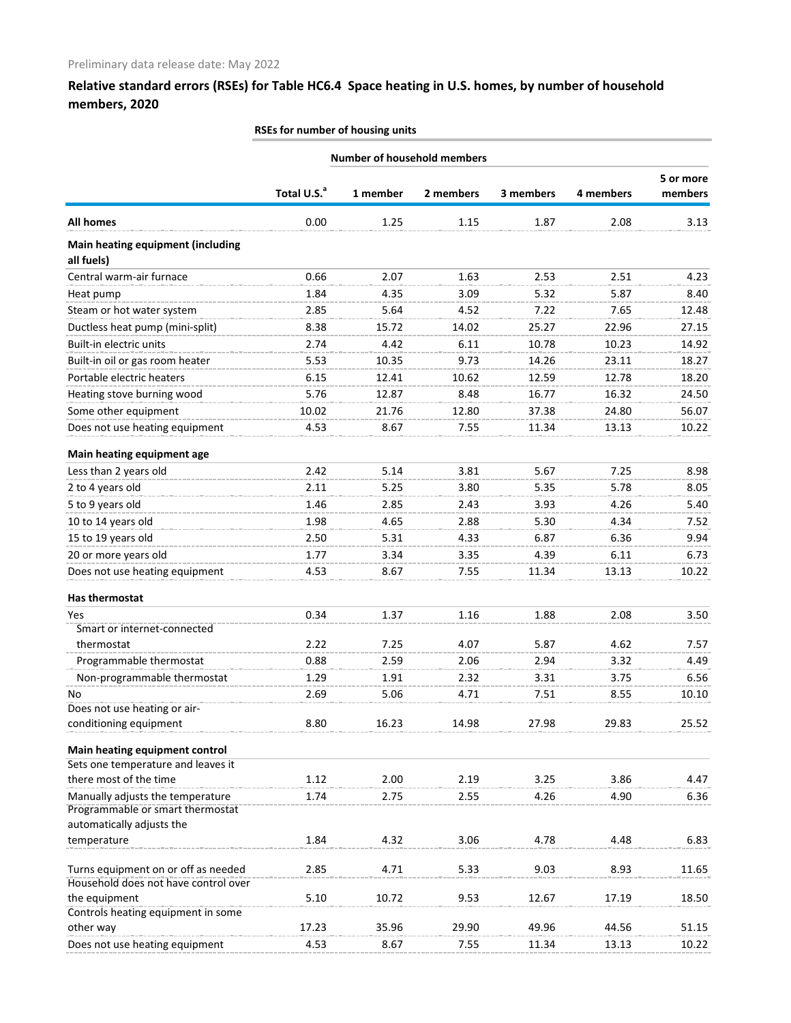#### **RSEs for number of housing units**

| <b>Number of household members</b>                                          |                         |          |           |           |           |                      |
|-----------------------------------------------------------------------------|-------------------------|----------|-----------|-----------|-----------|----------------------|
|                                                                             | Total U.S. <sup>a</sup> | 1 member | 2 members | 3 members | 4 members | 5 or more<br>members |
| <b>All homes</b>                                                            | 0.00                    | 1.25     | 1.15      | 1.87      | 2.08      | 3.13                 |
| <b>Main heating equipment (including</b><br>all fuels)                      |                         |          |           |           |           |                      |
| Central warm-air furnace                                                    | 0.66                    | 2.07     | 1.63      | 2.53      | 2.51      | 4.23                 |
| Heat pump                                                                   | 1.84                    | 4.35     | 3.09      | 5.32      | 5.87      | 8.40                 |
| Steam or hot water system                                                   | 2.85                    | 5.64     | 4.52      | 7.22      | 7.65      | 12.48                |
| Ductless heat pump (mini-split)                                             | 8.38                    | 15.72    | 14.02     | 25.27     | 22.96     | 27.15                |
| Built-in electric units                                                     | 2.74                    | 4.42     | 6.11      | 10.78     | 10.23     | 14.92                |
| Built-in oil or gas room heater                                             | 5.53                    | 10.35    | 9.73      | 14.26     | 23.11     | 18.27                |
| Portable electric heaters                                                   | 6.15                    | 12.41    | 10.62     | 12.59     | 12.78     | 18.20                |
| Heating stove burning wood                                                  | 5.76                    | 12.87    | 8.48      | 16.77     | 16.32     | 24.50                |
| Some other equipment                                                        | 10.02                   | 21.76    | 12.80     | 37.38     | 24.80     | 56.07                |
| Does not use heating equipment                                              | 4.53                    | 8.67     | 7.55      | 11.34     | 13.13     | 10.22                |
|                                                                             |                         |          |           |           |           |                      |
| Main heating equipment age<br>Less than 2 years old                         | 2.42                    | 5.14     | 3.81      | 5.67      | 7.25      | 8.98                 |
| 2 to 4 years old                                                            | 2.11                    | 5.25     | 3.80      | 5.35      | 5.78      | 8.05                 |
| 5 to 9 years old                                                            | 1.46                    | 2.85     | 2.43      | 3.93      | 4.26      | 5.40                 |
|                                                                             |                         |          |           |           |           |                      |
| 10 to 14 years old                                                          | 1.98                    | 4.65     | 2.88      | 5.30      | 4.34      | 7.52                 |
| 15 to 19 years old                                                          | 2.50                    | 5.31     | 4.33      | 6.87      | 6.36      | 9.94                 |
| 20 or more years old                                                        | 1.77                    | 3.34     | 3.35      | 4.39      | 6.11      | 6.73                 |
| Does not use heating equipment                                              | 4.53                    | 8.67     | 7.55      | 11.34     | 13.13     | 10.22                |
| Has thermostat                                                              |                         |          |           |           |           |                      |
| Yes                                                                         | 0.34                    | 1.37     | 1.16      | 1.88      | 2.08      | 3.50                 |
| Smart or internet-connected                                                 |                         |          |           |           |           |                      |
| thermostat                                                                  | 2.22                    | 7.25     | 4.07      | 5.87      | 4.62      | 7.57                 |
| Programmable thermostat                                                     | 0.88                    | 2.59     | 2.06      | 2.94      | 3.32      | 4.49                 |
| Non-programmable thermostat                                                 | 1.29                    | 1.91     | 2.32      | 3.31      | 3.75      | 6.56                 |
| No                                                                          | 2.69                    | 5.06     | 4.71      | 7.51      | 8.55      | 10.10                |
| Does not use heating or air-                                                |                         |          |           |           |           |                      |
| conditioning equipment                                                      | 8.80                    | 16.23    | 14.98     | 27.98     | 29.83     | 25.52                |
| Main heating equipment control                                              |                         |          |           |           |           |                      |
| Sets one temperature and leaves it                                          |                         |          |           |           |           |                      |
| there most of the time                                                      | 1.12                    | 2.00     | 2.19      | 3.25      | 3.86      | 4.47                 |
| Manually adjusts the temperature<br>Programmable or smart thermostat        | 1.74                    | 2.75     | 2.55      | 4.26      | 4.90      | 6.36                 |
| automatically adjusts the                                                   |                         |          |           |           |           |                      |
| temperature                                                                 | 1.84                    | 4.32     | 3.06      | 4.78      | 4.48      | 6.83                 |
| Turns equipment on or off as needed<br>Household does not have control over | 2.85                    | 4.71     | 5.33      | 9.03      | 8.93      | 11.65                |
| the equipment                                                               | 5.10                    | 10.72    | 9.53      | 12.67     | 17.19     | 18.50                |
| Controls heating equipment in some                                          |                         |          |           |           |           |                      |
| other way                                                                   | 17.23                   | 35.96    | 29.90     | 49.96     | 44.56     | 51.15                |
| Does not use heating equipment                                              | 4.53                    | 8.67     | 7.55      | 11.34     | 13.13     | 10.22                |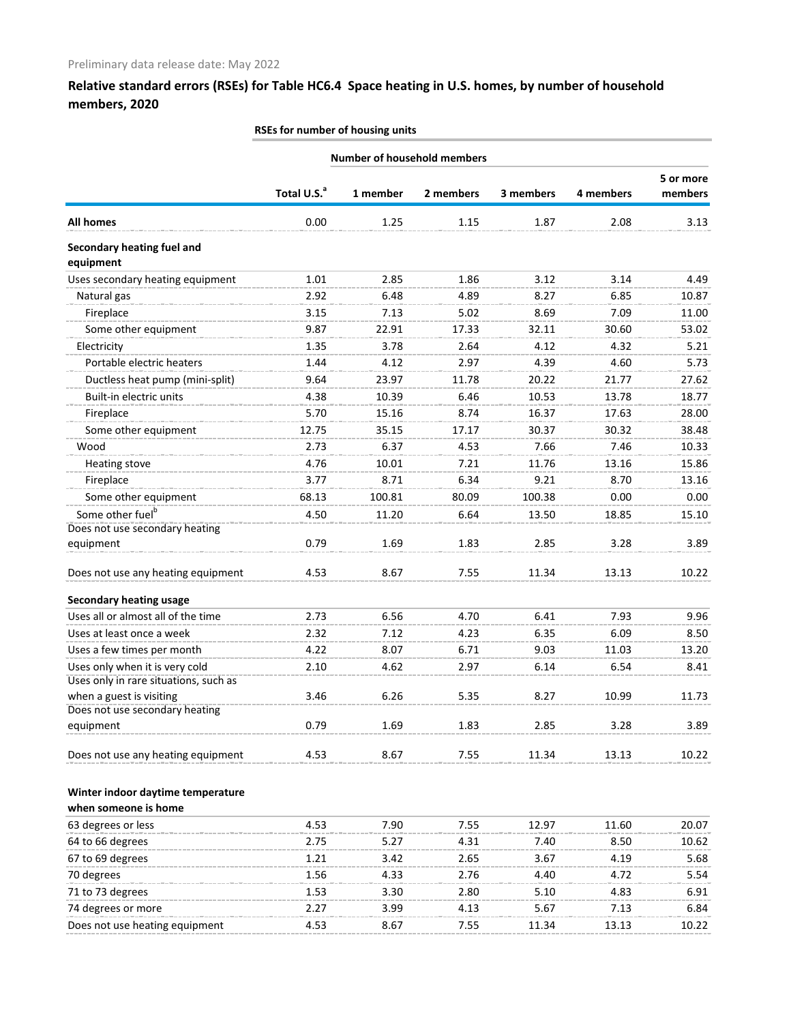|  |  | RSEs for number of housing units |  |  |  |
|--|--|----------------------------------|--|--|--|
|--|--|----------------------------------|--|--|--|

|                                                           |                         | <b>Number of household members</b> |           |           |           |                      |
|-----------------------------------------------------------|-------------------------|------------------------------------|-----------|-----------|-----------|----------------------|
|                                                           | Total U.S. <sup>a</sup> | 1 member                           | 2 members | 3 members | 4 members | 5 or more<br>members |
| <b>All homes</b>                                          | 0.00                    | 1.25                               | 1.15      | 1.87      | 2.08      | 3.13                 |
| Secondary heating fuel and<br>equipment                   |                         |                                    |           |           |           |                      |
| Uses secondary heating equipment                          | 1.01                    | 2.85                               | 1.86      | 3.12      | 3.14      | 4.49                 |
| Natural gas                                               | 2.92                    | 6.48                               | 4.89      | 8.27      | 6.85      | 10.87                |
| Fireplace                                                 | 3.15                    | 7.13                               | 5.02      | 8.69      | 7.09      | 11.00                |
| Some other equipment                                      | 9.87                    | 22.91                              | 17.33     | 32.11     | 30.60     | 53.02                |
| Electricity                                               | 1.35                    | 3.78                               | 2.64      | 4.12      | 4.32      | 5.21                 |
| Portable electric heaters                                 | 1.44                    | 4.12                               | 2.97      | 4.39      | 4.60      | 5.73                 |
| Ductless heat pump (mini-split)                           | 9.64                    | 23.97                              | 11.78     | 20.22     | 21.77     | 27.62                |
| Built-in electric units                                   | 4.38                    | 10.39                              | 6.46      | 10.53     | 13.78     | 18.77                |
| Fireplace                                                 | 5.70                    | 15.16                              | 8.74      | 16.37     | 17.63     | 28.00                |
| Some other equipment                                      | 12.75                   | 35.15                              | 17.17     | 30.37     | 30.32     | 38.48                |
| Wood                                                      | 2.73                    | 6.37                               | 4.53      | 7.66      | 7.46      | 10.33                |
| <b>Heating stove</b>                                      | 4.76                    | 10.01                              | 7.21      | 11.76     | 13.16     | 15.86                |
| Fireplace                                                 | 3.77                    | 8.71                               | 6.34      | 9.21      | 8.70      | 13.16                |
| Some other equipment                                      | 68.13                   | 100.81                             | 80.09     | 100.38    | 0.00      | 0.00                 |
| Some other fuel <sup>b</sup>                              | 4.50                    | 11.20                              | 6.64      | 13.50     | 18.85     | 15.10                |
| Does not use secondary heating<br>equipment               | 0.79                    | 1.69                               | 1.83      | 2.85      | 3.28      | 3.89                 |
| Does not use any heating equipment                        | 4.53                    | 8.67                               | 7.55      | 11.34     | 13.13     | 10.22                |
| <b>Secondary heating usage</b>                            |                         |                                    |           |           |           |                      |
| Uses all or almost all of the time                        | 2.73                    | 6.56                               | 4.70      | 6.41      | 7.93      | 9.96                 |
| Uses at least once a week                                 | 2.32                    | 7.12                               | 4.23      | 6.35      | 6.09      | 8.50                 |
| Uses a few times per month                                | 4.22                    | 8.07                               | 6.71      | 9.03      | 11.03     | 13.20                |
| Uses only when it is very cold                            | 2.10                    | 4.62                               | 2.97      | 6.14      | 6.54      | 8.41                 |
| Uses only in rare situations, such as                     |                         |                                    |           |           |           |                      |
| when a guest is visiting                                  | 3.46                    | 6.26                               | 5.35      | 8.27      | 10.99     | 11.73                |
| Does not use secondary heating<br>equipment               | 0.79                    | 1.69                               | 1.83      | 2.85      | 3.28      | 3.89                 |
| Does not use any heating equipment                        | 4.53                    | 8.67                               | 7.55      | 11.34     | 13.13     | 10.22                |
| Winter indoor daytime temperature<br>when someone is home |                         |                                    |           |           |           |                      |
| 63 degrees or less                                        | 4.53                    | 7.90                               | 7.55      | 12.97     | 11.60     | 20.07                |
| 64 to 66 degrees                                          | 2.75                    | 5.27                               | 4.31      | 7.40      | 8.50      | 10.62                |
| 67 to 69 degrees                                          | 1.21                    | 3.42                               | 2.65      | 3.67      | 4.19      | 5.68                 |
| 70 degrees                                                | 1.56                    | 4.33                               | 2.76      | 4.40      | 4.72      | 5.54                 |
| 71 to 73 degrees                                          | 1.53                    | 3.30                               | 2.80      | 5.10      | 4.83      | 6.91                 |
| 74 degrees or more                                        | 2.27                    | 3.99                               | 4.13      | 5.67      | 7.13      | 6.84                 |
| Does not use heating equipment                            | 4.53                    | 8.67                               | 7.55      | 11.34     | 13.13     | 10.22                |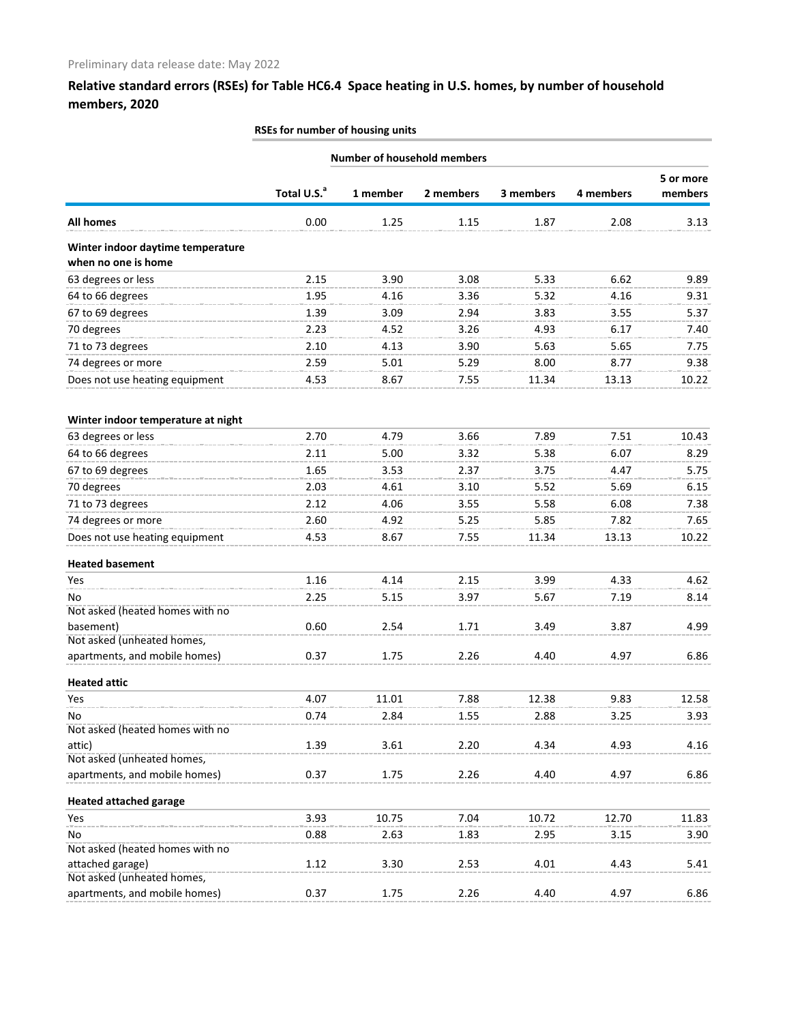|                                                             |                         |          | <b>Number of household members</b> |           |           |           |
|-------------------------------------------------------------|-------------------------|----------|------------------------------------|-----------|-----------|-----------|
|                                                             |                         |          |                                    |           |           | 5 or more |
|                                                             | Total U.S. <sup>a</sup> | 1 member | 2 members                          | 3 members | 4 members | members   |
| All homes                                                   | 0.00                    | 1.25     | 1.15                               | 1.87      | 2.08      | 3.13      |
| Winter indoor daytime temperature                           |                         |          |                                    |           |           |           |
| when no one is home                                         |                         |          |                                    |           |           |           |
| 63 degrees or less                                          | 2.15                    | 3.90     | 3.08                               | 5.33      | 6.62      | 9.89      |
| 64 to 66 degrees                                            | 1.95                    | 4.16     | 3.36                               | 5.32      | 4.16      | 9.31      |
| 67 to 69 degrees                                            | 1.39                    | 3.09     | 2.94                               | 3.83      | 3.55      | 5.37      |
| 70 degrees                                                  | 2.23                    | 4.52     | 3.26                               | 4.93      | 6.17      | 7.40      |
| 71 to 73 degrees                                            | 2.10                    | 4.13     | 3.90                               | 5.63      | 5.65      | 7.75      |
| 74 degrees or more                                          | 2.59                    | 5.01     | 5.29                               | 8.00      | 8.77      | 9.38      |
| Does not use heating equipment                              | 4.53                    | 8.67     | 7.55                               | 11.34     | 13.13     | 10.22     |
| Winter indoor temperature at night                          |                         |          |                                    |           |           |           |
| 63 degrees or less                                          | 2.70                    | 4.79     | 3.66                               | 7.89      | 7.51      | 10.43     |
| 64 to 66 degrees                                            | 2.11                    | 5.00     | 3.32                               | 5.38      | 6.07      | 8.29      |
| 67 to 69 degrees                                            | 1.65                    | 3.53     | 2.37                               | 3.75      | 4.47      | 5.75      |
| 70 degrees                                                  | 2.03                    | 4.61     | 3.10                               | 5.52      | 5.69      | 6.15      |
| 71 to 73 degrees                                            | 2.12                    | 4.06     | 3.55                               | 5.58      | 6.08      | 7.38      |
| 74 degrees or more                                          | 2.60                    | 4.92     | 5.25                               | 5.85      | 7.82      | 7.65      |
| Does not use heating equipment                              | 4.53                    | 8.67     | 7.55                               | 11.34     | 13.13     | 10.22     |
| <b>Heated basement</b>                                      |                         |          |                                    |           |           |           |
| Yes                                                         | 1.16                    | 4.14     | 2.15                               | 3.99      | 4.33      | 4.62      |
| No                                                          | 2.25                    | 5.15     | 3.97                               | 5.67      | 7.19      | 8.14      |
| Not asked (heated homes with no                             |                         |          |                                    |           |           |           |
| basement)                                                   | 0.60                    | 2.54     | 1.71                               | 3.49      | 3.87      | 4.99      |
| Not asked (unheated homes,                                  |                         |          |                                    |           |           |           |
| apartments, and mobile homes)                               | 0.37                    | 1.75     | 2.26                               | 4.40      | 4.97      | 6.86      |
| <b>Heated attic</b>                                         |                         |          |                                    |           |           |           |
| Yes                                                         | 4.07                    | 11.01    | 7.88                               | 12.38     | 9.83      | 12.58     |
| No                                                          | 0.74                    | 2.84     | 1.55                               | 2.88      | 3.25      | 3.93      |
| Not asked (heated homes with no                             |                         |          |                                    |           |           |           |
| attic)                                                      | 1.39                    | 3.61     | 2.20                               | 4.34      | 4.93      | 4.16      |
| Not asked (unheated homes,<br>apartments, and mobile homes) | 0.37                    | 1.75     | 2.26                               | 4.40      | 4.97      | 6.86      |
| <b>Heated attached garage</b>                               |                         |          |                                    |           |           |           |
| Yes                                                         | 3.93                    | 10.75    | 7.04                               | 10.72     | 12.70     | 11.83     |
| No                                                          | 0.88                    | 2.63     | 1.83                               | 2.95      | 3.15      | 3.90      |
| Not asked (heated homes with no                             |                         |          |                                    |           |           |           |
| attached garage)                                            | 1.12                    | 3.30     | 2.53                               | 4.01      | 4.43      | 5.41      |
| Not asked (unheated homes,                                  |                         |          |                                    |           |           |           |
| apartments, and mobile homes)                               | 0.37                    | 1.75     | 2.26                               | 4.40      | 4.97      | 6.86      |